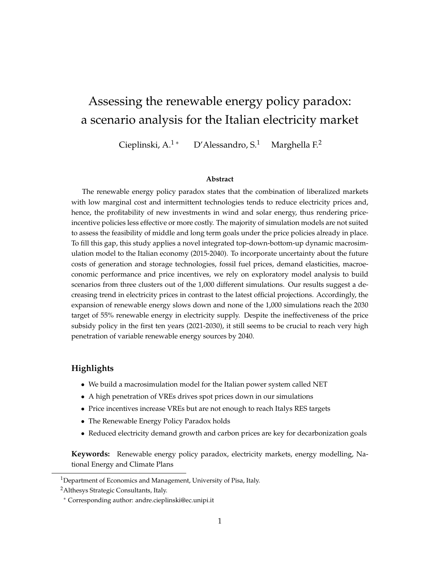# Assessing the renewable energy policy paradox: a scenario analysis for the Italian electricity market

Cieplinski, A.<sup>1\*</sup> D'Alessandro, S.<sup>1</sup> Marghella F.<sup>2</sup>

#### **Abstract**

The renewable energy policy paradox states that the combination of liberalized markets with low marginal cost and intermittent technologies tends to reduce electricity prices and, hence, the profitability of new investments in wind and solar energy, thus rendering priceincentive policies less effective or more costly. The majority of simulation models are not suited to assess the feasibility of middle and long term goals under the price policies already in place. To fill this gap, this study applies a novel integrated top-down-bottom-up dynamic macrosimulation model to the Italian economy (2015-2040). To incorporate uncertainty about the future costs of generation and storage technologies, fossil fuel prices, demand elasticities, macroeconomic performance and price incentives, we rely on exploratory model analysis to build scenarios from three clusters out of the 1,000 different simulations. Our results suggest a decreasing trend in electricity prices in contrast to the latest official projections. Accordingly, the expansion of renewable energy slows down and none of the 1,000 simulations reach the 2030 target of 55% renewable energy in electricity supply. Despite the ineffectiveness of the price subsidy policy in the first ten years (2021-2030), it still seems to be crucial to reach very high penetration of variable renewable energy sources by 2040.

#### **Highlights**

- We build a macrosimulation model for the Italian power system called NET
- A high penetration of VREs drives spot prices down in our simulations
- Price incentives increase VREs but are not enough to reach Italys RES targets
- The Renewable Energy Policy Paradox holds
- Reduced electricity demand growth and carbon prices are key for decarbonization goals

**Keywords:** Renewable energy policy paradox, electricity markets, energy modelling, National Energy and Climate Plans

<sup>&</sup>lt;sup>1</sup>Department of Economics and Management, University of Pisa, Italy.

<sup>&</sup>lt;sup>2</sup> Althesys Strategic Consultants, Italy.

<sup>∗</sup> Corresponding author: andre.cieplinski@ec.unipi.it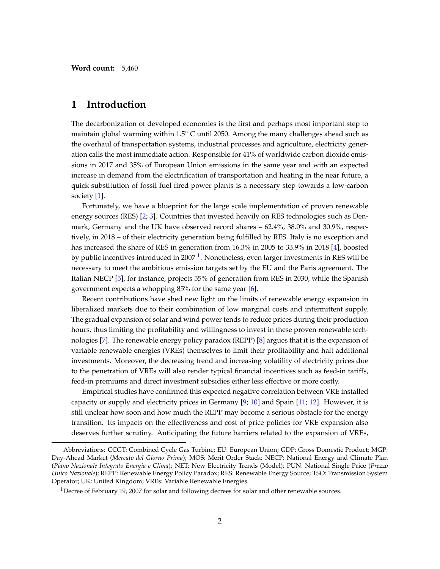**Word count:** 5,460

### **1 Introduction**

The decarbonization of developed economies is the first and perhaps most important step to maintain global warming within  $1.5\degree$  C until 2050. Among the many challenges ahead such as the overhaul of transportation systems, industrial processes and agriculture, electricity generation calls the most immediate action. Responsible for 41% of worldwide carbon dioxide emissions in 2017 and 35% of European Union emissions in the same year and with an expected increase in demand from the electrification of transportation and heating in the near future, a quick substitution of fossil fuel fired power plants is a necessary step towards a low-carbon society [\[1\]](#page-19-0).

Fortunately, we have a blueprint for the large scale implementation of proven renewable energy sources (RES) [\[2;](#page-19-1) [3\]](#page-19-2). Countries that invested heavily on RES technologies such as Denmark, Germany and the UK have observed record shares – 62.4%, 38.0% and 30.9%, respectively, in 2018 – of their electricity generation being fulfilled by RES. Italy is no exception and has increased the share of RES in generation from 16.3% in 2005 to 33.9% in 2018 [\[4\]](#page-19-3), boosted by public incentives introduced in 2007 <sup>[1](#page-1-0)</sup>. Nonetheless, even larger investments in RES will be necessary to meet the ambitious emission targets set by the EU and the Paris agreement. The Italian NECP [\[5\]](#page-19-4), for instance, projects 55% of generation from RES in 2030, while the Spanish government expects a whopping 85% for the same year [\[6\]](#page-19-5).

Recent contributions have shed new light on the limits of renewable energy expansion in liberalized markets due to their combination of low marginal costs and intermittent supply. The gradual expansion of solar and wind power tends to reduce prices during their production hours, thus limiting the profitability and willingness to invest in these proven renewable technologies [\[7\]](#page-19-6). The renewable energy policy paradox (REPP) [\[8\]](#page-19-7) argues that it is the expansion of variable renewable energies (VREs) themselves to limit their profitability and halt additional investments. Moreover, the decreasing trend and increasing volatility of electricity prices due to the penetration of VREs will also render typical financial incentives such as feed-in tariffs, feed-in premiums and direct investment subsidies either less effective or more costly.

Empirical studies have confirmed this expected negative correlation between VRE installed capacity or supply and electricity prices in Germany [\[9;](#page-19-8) [10\]](#page-19-9) and Spain [\[11;](#page-19-10) [12\]](#page-19-11). However, it is still unclear how soon and how much the REPP may become a serious obstacle for the energy transition. Its impacts on the effectiveness and cost of price policies for VRE expansion also deserves further scrutiny. Anticipating the future barriers related to the expansion of VREs,

Abbreviations: CCGT: Combined Cycle Gas Turbine; EU: European Union; GDP: Gross Domestic Product; MGP: Day-Ahead Market (*Mercato del Giorno Prima*); MOS: Merit Order Stack; NECP: National Energy and Climate Plan (*Piano Nazionale Integrato Energia e Clima*); NET: New Electricity Trends (Model); PUN: National Single Price (*Prezzo Unico Nazionale*); REPP: Renewable Energy Policy Paradox; RES: Renewable Energy Source; TSO: Transmission System Operator; UK: United Kingdom; VREs: Variable Renewable Energies.

<span id="page-1-0"></span><sup>&</sup>lt;sup>1</sup>Decree of February 19, 2007 for solar and following decrees for solar and other renewable sources.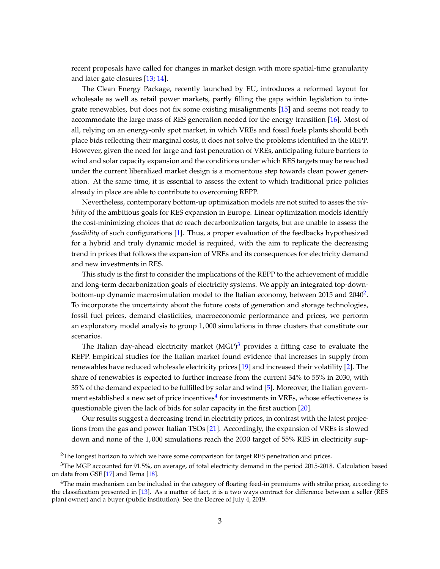recent proposals have called for changes in market design with more spatial-time granularity and later gate closures [\[13;](#page-20-0) [14\]](#page-20-1).

The Clean Energy Package, recently launched by EU, introduces a reformed layout for wholesale as well as retail power markets, partly filling the gaps within legislation to integrate renewables, but does not fix some existing misalignments [\[15\]](#page-20-2) and seems not ready to accommodate the large mass of RES generation needed for the energy transition [\[16\]](#page-20-3). Most of all, relying on an energy-only spot market, in which VREs and fossil fuels plants should both place bids reflecting their marginal costs, it does not solve the problems identified in the REPP. However, given the need for large and fast penetration of VREs, anticipating future barriers to wind and solar capacity expansion and the conditions under which RES targets may be reached under the current liberalized market design is a momentous step towards clean power generation. At the same time, it is essential to assess the extent to which traditional price policies already in place are able to contribute to overcoming REPP.

Nevertheless, contemporary bottom-up optimization models are not suited to asses the *viability* of the ambitious goals for RES expansion in Europe. Linear optimization models identify the cost-minimizing choices that *do* reach decarbonization targets, but are unable to assess the *feasibility* of such configurations [\[1\]](#page-19-0). Thus, a proper evaluation of the feedbacks hypothesized for a hybrid and truly dynamic model is required, with the aim to replicate the decreasing trend in prices that follows the expansion of VREs and its consequences for electricity demand and new investments in RES.

This study is the first to consider the implications of the REPP to the achievement of middle and long-term decarbonization goals of electricity systems. We apply an integrated top-down-bottom-up dynamic macrosimulation model to the Italian economy, between [2](#page-2-0)015 and 2040 $^2$ . To incorporate the uncertainty about the future costs of generation and storage technologies, fossil fuel prices, demand elasticities, macroeconomic performance and prices, we perform an exploratory model analysis to group 1, 000 simulations in three clusters that constitute our scenarios.

The Italian day-ahead electricity market  $(MGP)^3$  $(MGP)^3$  provides a fitting case to evaluate the REPP. Empirical studies for the Italian market found evidence that increases in supply from renewables have reduced wholesale electricity prices [\[19\]](#page-20-4) and increased their volatility [\[2\]](#page-19-1). The share of renewables is expected to further increase from the current 34% to 55% in 2030, with 35% of the demand expected to be fulfilled by solar and wind [\[5\]](#page-19-4). Moreover, the Italian government established a new set of price incentives $^4$  $^4$  for investments in VREs, whose effectiveness is questionable given the lack of bids for solar capacity in the first auction [\[20\]](#page-20-5).

Our results suggest a decreasing trend in electricity prices, in contrast with the latest projections from the gas and power Italian TSOs [\[21\]](#page-20-6). Accordingly, the expansion of VREs is slowed down and none of the 1, 000 simulations reach the 2030 target of 55% RES in electricity sup-

<span id="page-2-1"></span><span id="page-2-0"></span><sup>&</sup>lt;sup>2</sup>The longest horizon to which we have some comparison for target RES penetration and prices.

<sup>&</sup>lt;sup>3</sup>The MGP accounted for 91.5%, on average, of total electricity demand in the period 2015-2018. Calculation based on data from GSE [\[17\]](#page-20-7) and Terna [\[18\]](#page-20-8).

<span id="page-2-2"></span><sup>&</sup>lt;sup>4</sup>The main mechanism can be included in the category of floating feed-in premiums with strike price, according to the classification presented in [\[13\]](#page-20-0). As a matter of fact, it is a two ways contract for difference between a seller (RES plant owner) and a buyer (public institution). See the Decree of July 4, 2019.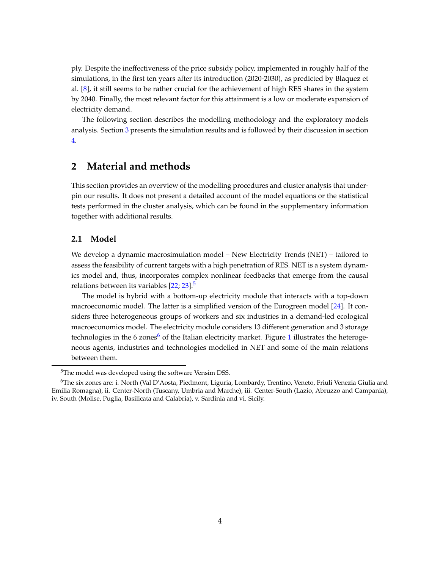ply. Despite the ineffectiveness of the price subsidy policy, implemented in roughly half of the simulations, in the first ten years after its introduction (2020-2030), as predicted by Blaquez et al. [\[8\]](#page-19-7), it still seems to be rather crucial for the achievement of high RES shares in the system by 2040. Finally, the most relevant factor for this attainment is a low or moderate expansion of electricity demand.

The following section describes the modelling methodology and the exploratory models analysis. Section [3](#page-9-0) presents the simulation results and is followed by their discussion in section [4.](#page-17-0)

# **2 Material and methods**

This section provides an overview of the modelling procedures and cluster analysis that underpin our results. It does not present a detailed account of the model equations or the statistical tests performed in the cluster analysis, which can be found in the supplementary information together with additional results.

#### **2.1 Model**

We develop a dynamic macrosimulation model – New Electricity Trends (NET) – tailored to assess the feasibility of current targets with a high penetration of RES. NET is a system dynamics model and, thus, incorporates complex nonlinear feedbacks that emerge from the causal relations between its variables [\[22;](#page-20-9) [23\]](#page-20-10).<sup>[5](#page-3-0)</sup>

The model is hybrid with a bottom-up electricity module that interacts with a top-down macroeconomic model. The latter is a simplified version of the Eurogreen model [\[24\]](#page-20-11). It considers three heterogeneous groups of workers and six industries in a demand-led ecological macroeconomics model. The electricity module considers 13 different generation and 3 storage technologies in the [6](#page-3-1) zones<sup>6</sup> of the Italian electricity market. Figure [1](#page-4-0) illustrates the heterogeneous agents, industries and technologies modelled in NET and some of the main relations between them.

<span id="page-3-1"></span><span id="page-3-0"></span><sup>5</sup>The model was developed using the software Vensim DSS.

<sup>6</sup>The six zones are: i. North (Val D'Aosta, Piedmont, Liguria, Lombardy, Trentino, Veneto, Friuli Venezia Giulia and Emilia Romagna), ii. Center-North (Tuscany, Umbria and Marche), iii. Center-South (Lazio, Abruzzo and Campania), iv. South (Molise, Puglia, Basilicata and Calabria), v. Sardinia and vi. Sicily.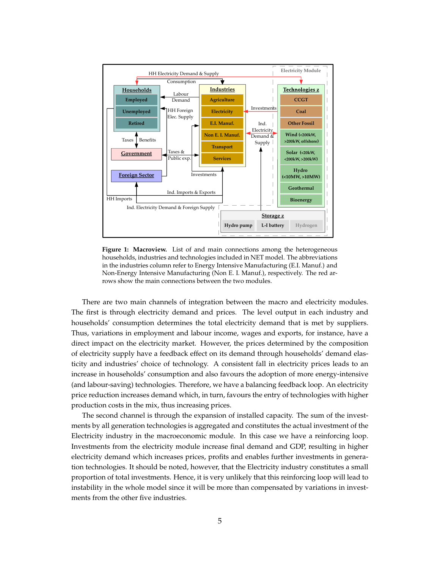<span id="page-4-0"></span>

**Figure 1: Macroview.** List of and main connections among the heterogeneous households, industries and technologies included in NET model. The abbreviations in the industries column refer to Energy Intensive Manufacturing (E.I. Manuf.) and Non-Energy Intensive Manufacturing (Non E. I. Manuf.), respectively. The red arrows show the main connections between the two modules.

There are two main channels of integration between the macro and electricity modules. The first is through electricity demand and prices. The level output in each industry and households' consumption determines the total electricity demand that is met by suppliers. Thus, variations in employment and labour income, wages and exports, for instance, have a direct impact on the electricity market. However, the prices determined by the composition of electricity supply have a feedback effect on its demand through households' demand elasticity and industries' choice of technology. A consistent fall in electricity prices leads to an increase in households' consumption and also favours the adoption of more energy-intensive (and labour-saving) technologies. Therefore, we have a balancing feedback loop. An electricity price reduction increases demand which, in turn, favours the entry of technologies with higher production costs in the mix, thus increasing prices.

The second channel is through the expansion of installed capacity. The sum of the investments by all generation technologies is aggregated and constitutes the actual investment of the Electricity industry in the macroeconomic module. In this case we have a reinforcing loop. Investments from the electricity module increase final demand and GDP, resulting in higher electricity demand which increases prices, profits and enables further investments in generation technologies. It should be noted, however, that the Electricity industry constitutes a small proportion of total investments. Hence, it is very unlikely that this reinforcing loop will lead to instability in the whole model since it will be more than compensated by variations in investments from the other five industries.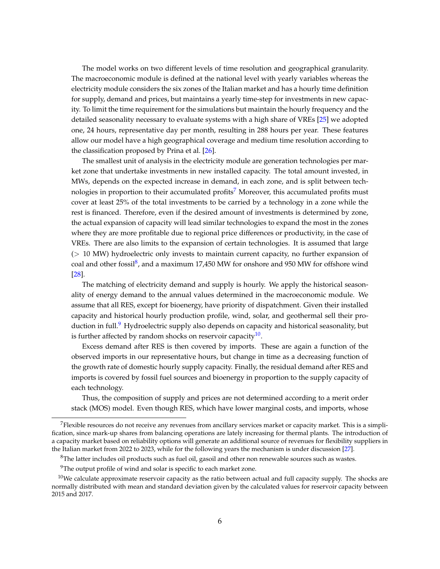The model works on two different levels of time resolution and geographical granularity. The macroeconomic module is defined at the national level with yearly variables whereas the electricity module considers the six zones of the Italian market and has a hourly time definition for supply, demand and prices, but maintains a yearly time-step for investments in new capacity. To limit the time requirement for the simulations but maintain the hourly frequency and the detailed seasonality necessary to evaluate systems with a high share of VREs [\[25\]](#page-21-0) we adopted one, 24 hours, representative day per month, resulting in 288 hours per year. These features allow our model have a high geographical coverage and medium time resolution according to the classification proposed by Prina et al. [\[26\]](#page-21-1).

The smallest unit of analysis in the electricity module are generation technologies per market zone that undertake investments in new installed capacity. The total amount invested, in MWs, depends on the expected increase in demand, in each zone, and is split between tech-nologies in proportion to their accumulated profits<sup>[7](#page-5-0)</sup> Moreover, this accumulated profits must cover at least 25% of the total investments to be carried by a technology in a zone while the rest is financed. Therefore, even if the desired amount of investments is determined by zone, the actual expansion of capacity will lead similar technologies to expand the most in the zones where they are more profitable due to regional price differences or productivity, in the case of VREs. There are also limits to the expansion of certain technologies. It is assumed that large (> 10 MW) hydroelectric only invests to maintain current capacity, no further expansion of coal and other fossil<sup>[8](#page-5-1)</sup>, and a maximum 17,450 MW for onshore and 950 MW for offshore wind [\[28\]](#page-21-2).

The matching of electricity demand and supply is hourly. We apply the historical seasonality of energy demand to the annual values determined in the macroeconomic module. We assume that all RES, except for bioenergy, have priority of dispatchment. Given their installed capacity and historical hourly production profile, wind, solar, and geothermal sell their pro-duction in full.<sup>[9](#page-5-2)</sup> Hydroelectric supply also depends on capacity and historical seasonality, but is further affected by random shocks on reservoir capacity $^{10}$  $^{10}$  $^{10}$ .

Excess demand after RES is then covered by imports. These are again a function of the observed imports in our representative hours, but change in time as a decreasing function of the growth rate of domestic hourly supply capacity. Finally, the residual demand after RES and imports is covered by fossil fuel sources and bioenergy in proportion to the supply capacity of each technology.

Thus, the composition of supply and prices are not determined according to a merit order stack (MOS) model. Even though RES, which have lower marginal costs, and imports, whose

<span id="page-5-0"></span><sup>7</sup>Flexible resources do not receive any revenues from ancillary services market or capacity market. This is a simplification, since mark-up shares from balancing operations are lately increasing for thermal plants. The introduction of a capacity market based on reliability options will generate an additional source of revenues for flexibility suppliers in the Italian market from 2022 to 2023, while for the following years the mechanism is under discussion [\[27\]](#page-21-3).

<span id="page-5-1"></span><sup>&</sup>lt;sup>8</sup>The latter includes oil products such as fuel oil, gasoil and other non renewable sources such as wastes.

<span id="page-5-3"></span><span id="page-5-2"></span><sup>&</sup>lt;sup>9</sup>The output profile of wind and solar is specific to each market zone.

 $10$ We calculate approximate reservoir capacity as the ratio between actual and full capacity supply. The shocks are normally distributed with mean and standard deviation given by the calculated values for reservoir capacity between 2015 and 2017.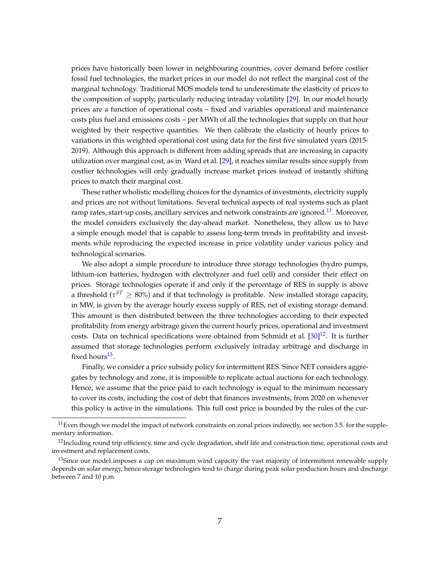prices have historically been lower in neighbouring countries, cover demand before costlier fossil fuel technologies, the market prices in our model do not reflect the marginal cost of the marginal technology. Traditional MOS models tend to underestimate the elasticity of prices to the composition of supply, particularly reducing intraday volatility [\[29\]](#page-21-4). In our model hourly prices are a function of operational costs – fixed and variables operational and maintenance costs plus fuel and emissions costs – per MWh of all the technologies that supply on that hour weighted by their respective quantities. We then calibrate the elasticity of hourly prices to variations in this weighted operational cost using data for the first five simulated years (2015- 2019). Although this approach is different from adding spreads that are increasing in capacity utilization over marginal cost, as in Ward et al. [\[29\]](#page-21-4), it reaches similar results since supply from costlier technologies will only gradually increase market prices instead of instantly shifting prices to match their marginal cost.

These rather wholistic modelling choices for the dynamics of investments, electricity supply and prices are not without limitations. Several technical aspects of real systems such as plant ramp rates, start-up costs, ancillary services and network constraints are ignored.<sup>[11](#page-6-0)</sup>. Moreover, the model considers exclusively the day-ahead market. Nonetheless, they allow us to have a simple enough model that is capable to assess long-term trends in profitability and investments while reproducing the expected increase in price volatility under various policy and technological scenarios.

We also adopt a simple procedure to introduce three storage technologies (hydro pumps, lithium-ion batteries, hydrogen with electrolyzer and fuel cell) and consider their effect on prices. Storage technologies operate if and only if the percentage of RES in supply is above a threshold ( $\tau^{ST} \geq 80\%$ ) and if that technology is profitable. New installed storage capacity, in MW, is given by the average hourly excess supply of RES, net of existing storage demand. This amount is then distributed between the three technologies according to their expected profitability from energy arbitrage given the current hourly prices, operational and investment costs. Data on technical specifications were obtained from Schmidt et al.  $[30]^{12}$  $[30]^{12}$  $[30]^{12}$  $[30]^{12}$ . It is further assumed that storage technologies perform exclusively intraday arbitrage and discharge in fixed hours<sup>[13](#page-6-2)</sup>.

Finally, we consider a price subsidy policy for intermittent RES. Since NET considers aggregates by technology and zone, it is impossible to replicate actual auctions for each technology. Hence, we assume that the price paid to each technology is equal to the minimum necessary to cover its costs, including the cost of debt that finances investments, from 2020 on whenever this policy is active in the simulations. This full cost price is bounded by the rules of the cur-

<span id="page-6-0"></span> $11$  Even though we model the impact of network constraints on zonal prices indirectly, see section 3.5. for the supplementary information.

<span id="page-6-1"></span><sup>&</sup>lt;sup>12</sup>Including round trip efficiency, time and cycle degradation, shelf life and construction time, operational costs and investment and replacement costs.

<span id="page-6-2"></span><sup>&</sup>lt;sup>13</sup>Since our model imposes a cap on maximum wind capacity the vast majority of intermittent renewable supply depends on solar energy, hence storage technologies tend to charge during peak solar production hours and discharge between 7 and 10 p.m.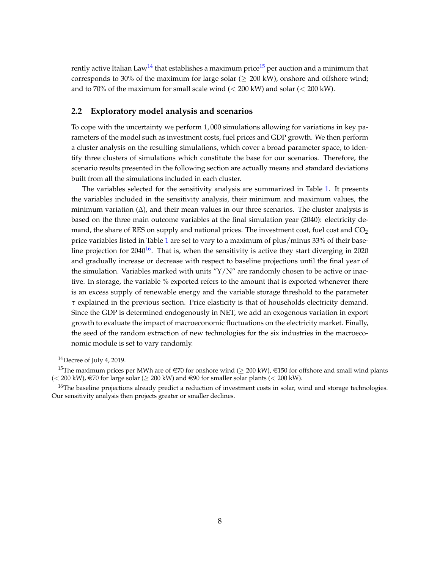rently active Italian Law<sup>[14](#page-7-0)</sup> that establishes a maximum price<sup>[15](#page-7-1)</sup> per auction and a minimum that corresponds to 30% of the maximum for large solar ( $\geq$  200 kW), onshore and offshore wind; and to 70% of the maximum for small scale wind  $(< 200 \text{ kW})$  and solar  $(< 200 \text{ kW})$ .

#### **2.2 Exploratory model analysis and scenarios**

To cope with the uncertainty we perform 1, 000 simulations allowing for variations in key parameters of the model such as investment costs, fuel prices and GDP growth. We then perform a cluster analysis on the resulting simulations, which cover a broad parameter space, to identify three clusters of simulations which constitute the base for our scenarios. Therefore, the scenario results presented in the following section are actually means and standard deviations built from all the simulations included in each cluster.

The variables selected for the sensitivity analysis are summarized in Table [1.](#page-8-0) It presents the variables included in the sensitivity analysis, their minimum and maximum values, the minimum variation  $(\Delta)$ , and their mean values in our three scenarios. The cluster analysis is based on the three main outcome variables at the final simulation year (2040): electricity demand, the share of RES on supply and national prices. The investment cost, fuel cost and  $CO<sub>2</sub>$ price variables listed in Table [1](#page-8-0) are set to vary to a maximum of plus/minus 33% of their baseline projection for  $2040^{16}$  $2040^{16}$  $2040^{16}$ . That is, when the sensitivity is active they start diverging in 2020 and gradually increase or decrease with respect to baseline projections until the final year of the simulation. Variables marked with units " $Y/N$ " are randomly chosen to be active or inactive. In storage, the variable % exported refers to the amount that is exported whenever there is an excess supply of renewable energy and the variable storage threshold to the parameter *τ* explained in the previous section. Price elasticity is that of households electricity demand. Since the GDP is determined endogenously in NET, we add an exogenous variation in export growth to evaluate the impact of macroeconomic fluctuations on the electricity market. Finally, the seed of the random extraction of new technologies for the six industries in the macroeconomic module is set to vary randomly.

<span id="page-7-1"></span><span id="page-7-0"></span> $14$ Decree of July 4, 2019.

<sup>&</sup>lt;sup>15</sup>The maximum prices per MWh are of  $\in$  70 for onshore wind ( $\geq$  200 kW),  $\in$ 150 for offshore and small wind plants (< 200 kW), €70 for large solar ( $\geq$  200 kW) and €90 for smaller solar plants (< 200 kW).

<span id="page-7-2"></span> $16$ The baseline projections already predict a reduction of investment costs in solar, wind and storage technologies. Our sensitivity analysis then projects greater or smaller declines.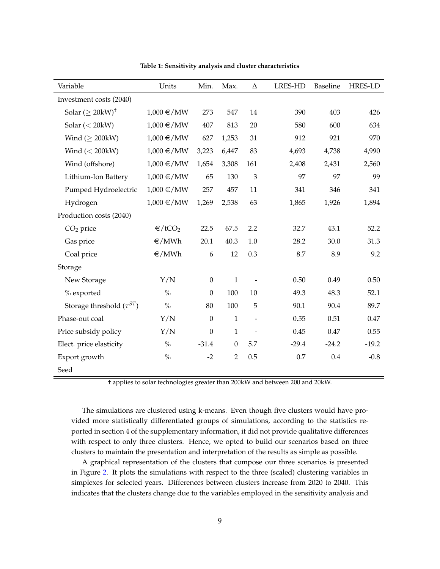<span id="page-8-0"></span>

| Variable                              | Units              | Min.             | Max.           | $\Delta$                 | <b>LRES-HD</b> | Baseline | <b>HRES-LD</b> |
|---------------------------------------|--------------------|------------------|----------------|--------------------------|----------------|----------|----------------|
| Investment costs (2040)               |                    |                  |                |                          |                |          |                |
| Solar $(\geq 20 \text{kW})^{\dagger}$ | $1,000 \in /MW$    | 273              | 547            | 14                       | 390            | 403      | 426            |
| Solar $(< 20$ kW)                     | $1,000 \in /MW$    | 407              | 813            | 20                       | 580            | 600      | 634            |
| Wind $( \geq 200 \text{kW})$          | $1,000 \in /MW$    | 627              | 1,253          | 31                       | 912            | 921      | 970            |
| Wind $(< 200 \text{kW})$              | $1,000 \in /MW$    | 3,223            | 6,447          | 83                       | 4,693          | 4,738    | 4,990          |
| Wind (offshore)                       | $1,000 \in /MW$    | 1,654            | 3,308          | 161                      | 2,408          | 2,431    | 2,560          |
| Lithium-Ion Battery                   | $1,000 \in /MW$    | 65               | 130            | 3                        | 97             | 97       | 99             |
| Pumped Hydroelectric                  | $1,000 \in /MW$    | 257              | 457            | 11                       | 341            | 346      | 341            |
| Hydrogen                              | $1,000 \in /MW$    | 1,269            | 2,538          | 63                       | 1,865          | 1,926    | 1,894          |
| Production costs (2040)               |                    |                  |                |                          |                |          |                |
| $CO2$ price                           | €/tCO <sub>2</sub> | 22.5             | 67.5           | 2.2                      | 32.7           | 43.1     | 52.2           |
| Gas price                             | €/MWh              | 20.1             | 40.3           | 1.0                      | 28.2           | 30.0     | 31.3           |
| Coal price                            | €/MWh              | 6                | 12             | 0.3                      | 8.7            | 8.9      | 9.2            |
| Storage                               |                    |                  |                |                          |                |          |                |
| New Storage                           | Y/N                | $\boldsymbol{0}$ | $\mathbf 1$    |                          | 0.50           | 0.49     | 0.50           |
| % exported                            | $\%$               | $\theta$         | 100            | 10                       | 49.3           | 48.3     | 52.1           |
| Storage threshold $(\tau^{ST})$       | $\%$               | 80               | 100            | 5                        | 90.1           | 90.4     | 89.7           |
| Phase-out coal                        | Y/N                | $\theta$         | $\mathbf{1}$   | $\overline{\phantom{a}}$ | 0.55           | 0.51     | 0.47           |
| Price subsidy policy                  | Y/N                | $\boldsymbol{0}$ | $\mathbf{1}$   |                          | 0.45           | 0.47     | 0.55           |
| Elect. price elasticity               | $\frac{0}{0}$      | $-31.4$          | $\theta$       | 5.7                      | $-29.4$        | $-24.2$  | $-19.2$        |
| Export growth                         | $\frac{0}{0}$      | $-2$             | $\overline{2}$ | 0.5                      | 0.7            | 0.4      | $-0.8$         |
| Seed                                  |                    |                  |                |                          |                |          |                |

**Table 1: Sensitivity analysis and cluster characteristics**

† applies to solar technologies greater than 200kW and between 200 and 20kW.

The simulations are clustered using k-means. Even though five clusters would have provided more statistically differentiated groups of simulations, according to the statistics reported in section 4 of the supplementary information, it did not provide qualitative differences with respect to only three clusters. Hence, we opted to build our scenarios based on three clusters to maintain the presentation and interpretation of the results as simple as possible.

A graphical representation of the clusters that compose our three scenarios is presented in Figure [2.](#page-9-1) It plots the simulations with respect to the three (scaled) clustering variables in simplexes for selected years. Differences between clusters increase from 2020 to 2040. This indicates that the clusters change due to the variables employed in the sensitivity analysis and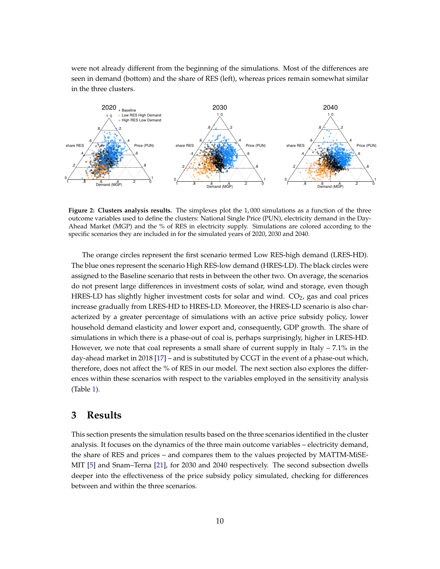were not already different from the beginning of the simulations. Most of the differences are seen in demand (bottom) and the share of RES (left), whereas prices remain somewhat similar in the three clusters.

<span id="page-9-1"></span>

**Figure 2: Clusters analysis results.** The simplexes plot the 1, 000 simulations as a function of the three outcome variables used to define the clusters: National Single Price (PUN), electricity demand in the Day-Ahead Market (MGP) and the % of RES in electricity supply. Simulations are colored according to the specific scenarios they are included in for the simulated years of 2020, 2030 and 2040.

The orange circles represent the first scenario termed Low RES-high demand (LRES-HD). The blue ones represent the scenario High RES-low demand (HRES-LD). The black circles were assigned to the Baseline scenario that rests in between the other two. On average, the scenarios do not present large differences in investment costs of solar, wind and storage, even though HRES-LD has slightly higher investment costs for solar and wind.  $CO<sub>2</sub>$ , gas and coal prices increase gradually from LRES-HD to HRES-LD. Moreover, the HRES-LD scenario is also characterized by a greater percentage of simulations with an active price subsidy policy, lower household demand elasticity and lower export and, consequently, GDP growth. The share of simulations in which there is a phase-out of coal is, perhaps surprisingly, higher in LRES-HD. However, we note that coal represents a small share of current supply in Italy  $-7.1\%$  in the day-ahead market in 2018 [\[17\]](#page-20-7) – and is substituted by CCGT in the event of a phase-out which, therefore, does not affect the % of RES in our model. The next section also explores the differences within these scenarios with respect to the variables employed in the sensitivity analysis (Table [1\)](#page-8-0).

### <span id="page-9-0"></span>**3 Results**

This section presents the simulation results based on the three scenarios identified in the cluster analysis. It focuses on the dynamics of the three main outcome variables – electricity demand, the share of RES and prices – and compares them to the values projected by MATTM-MiSE-MIT [\[5\]](#page-19-4) and Snam–Terna [\[21\]](#page-20-6), for 2030 and 2040 respectively. The second subsection dwells deeper into the effectiveness of the price subsidy policy simulated, checking for differences between and within the three scenarios.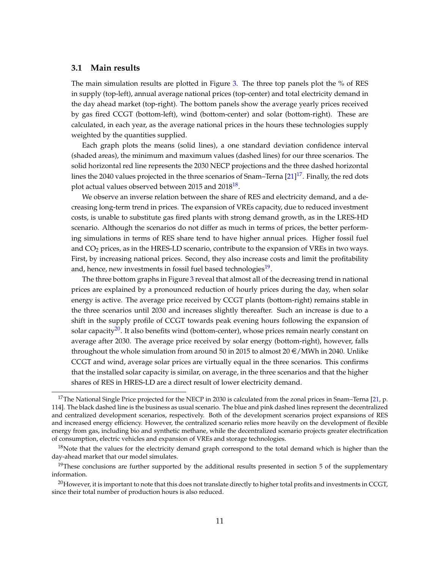#### **3.1 Main results**

The main simulation results are plotted in Figure [3.](#page-11-0) The three top panels plot the % of RES in supply (top-left), annual average national prices (top-center) and total electricity demand in the day ahead market (top-right). The bottom panels show the average yearly prices received by gas fired CCGT (bottom-left), wind (bottom-center) and solar (bottom-right). These are calculated, in each year, as the average national prices in the hours these technologies supply weighted by the quantities supplied.

Each graph plots the means (solid lines), a one standard deviation confidence interval (shaded areas), the minimum and maximum values (dashed lines) for our three scenarios. The solid horizontal red line represents the 2030 NECP projections and the three dashed horizontal lines the 2040 values projected in the three scenarios of Snam–Terna [\[21\]](#page-20-6)<sup>[17](#page-10-0)</sup>. Finally, the red dots plot actual values observed between 2015 and 20[18](#page-10-1) $^{\rm 18}.$ 

We observe an inverse relation between the share of RES and electricity demand, and a decreasing long-term trend in prices. The expansion of VREs capacity, due to reduced investment costs, is unable to substitute gas fired plants with strong demand growth, as in the LRES-HD scenario. Although the scenarios do not differ as much in terms of prices, the better performing simulations in terms of RES share tend to have higher annual prices. Higher fossil fuel and  $CO<sub>2</sub>$  prices, as in the HRES-LD scenario, contribute to the expansion of VREs in two ways. First, by increasing national prices. Second, they also increase costs and limit the profitability and, hence, new investments in fossil fuel based technologies<sup>[19](#page-10-2)</sup>.

The three bottom graphs in Figure [3](#page-11-0) reveal that almost all of the decreasing trend in national prices are explained by a pronounced reduction of hourly prices during the day, when solar energy is active. The average price received by CCGT plants (bottom-right) remains stable in the three scenarios until 2030 and increases slightly thereafter. Such an increase is due to a shift in the supply profile of CCGT towards peak evening hours following the expansion of solar capacity<sup>[20](#page-10-3)</sup>. It also benefits wind (bottom-center), whose prices remain nearly constant on average after 2030. The average price received by solar energy (bottom-right), however, falls throughout the whole simulation from around 50 in 2015 to almost  $20 \in /MWh$  in 2040. Unlike CCGT and wind, average solar prices are virtually equal in the three scenarios. This confirms that the installed solar capacity is similar, on average, in the three scenarios and that the higher shares of RES in HRES-LD are a direct result of lower electricity demand.

<span id="page-10-0"></span><sup>&</sup>lt;sup>17</sup>The National Single Price projected for the NECP in 2030 is calculated from the zonal prices in Snam–Terna [\[21,](#page-20-6) p. 114]. The black dashed line is the business as usual scenario. The blue and pink dashed lines represent the decentralized and centralized development scenarios, respectively. Both of the development scenarios project expansions of RES and increased energy efficiency. However, the centralized scenario relies more heavily on the development of flexible energy from gas, including bio and synthetic methane, while the decentralized scenario projects greater electrification of consumption, electric vehicles and expansion of VREs and storage technologies.

<span id="page-10-1"></span> $18$ Note that the values for the electricity demand graph correspond to the total demand which is higher than the day-ahead market that our model simulates.

<span id="page-10-2"></span> $19$ These conclusions are further supported by the additional results presented in section 5 of the supplementary information.

<span id="page-10-3"></span> $20$ However, it is important to note that this does not translate directly to higher total profits and investments in CCGT, since their total number of production hours is also reduced.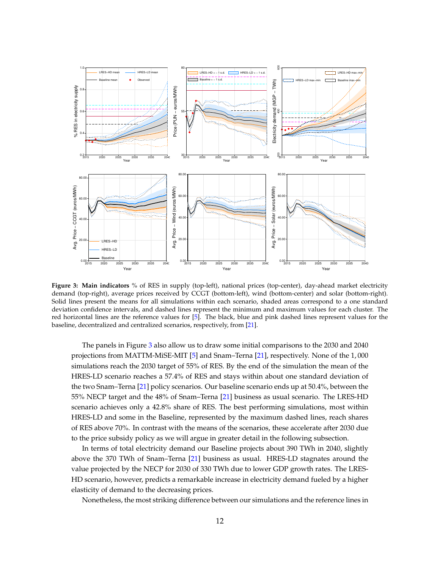<span id="page-11-0"></span>

**Figure 3: Main indicators** % of RES in supply (top-left), national prices (top-center), day-ahead market electricity demand (top-right), average prices received by CCGT (bottom-left), wind (bottom-center) and solar (bottom-right). Solid lines present the means for all simulations within each scenario, shaded areas correspond to a one standard deviation confidence intervals, and dashed lines represent the minimum and maximum values for each cluster. The red horizontal lines are the reference values for [\[5\]](#page-19-4). The black, blue and pink dashed lines represent values for the baseline, decentralized and centralized scenarios, respectively, from [\[21\]](#page-20-6).

The panels in Figure [3](#page-11-0) also allow us to draw some initial comparisons to the 2030 and 2040 projections from MATTM-MiSE-MIT [\[5\]](#page-19-4) and Snam–Terna [\[21\]](#page-20-6), respectively. None of the 1, 000 simulations reach the 2030 target of 55% of RES. By the end of the simulation the mean of the HRES-LD scenario reaches a 57.4% of RES and stays within about one standard deviation of the two Snam–Terna [\[21\]](#page-20-6) policy scenarios. Our baseline scenario ends up at 50.4%, between the 55% NECP target and the 48% of Snam–Terna [\[21\]](#page-20-6) business as usual scenario. The LRES-HD scenario achieves only a 42.8% share of RES. The best performing simulations, most within HRES-LD and some in the Baseline, represented by the maximum dashed lines, reach shares of RES above 70%. In contrast with the means of the scenarios, these accelerate after 2030 due to the price subsidy policy as we will argue in greater detail in the following subsection.

In terms of total electricity demand our Baseline projects about 390 TWh in 2040, slightly above the 370 TWh of Snam–Terna [\[21\]](#page-20-6) business as usual. HRES-LD stagnates around the value projected by the NECP for 2030 of 330 TWh due to lower GDP growth rates. The LRES-HD scenario, however, predicts a remarkable increase in electricity demand fueled by a higher elasticity of demand to the decreasing prices.

Nonetheless, the most striking difference between our simulations and the reference lines in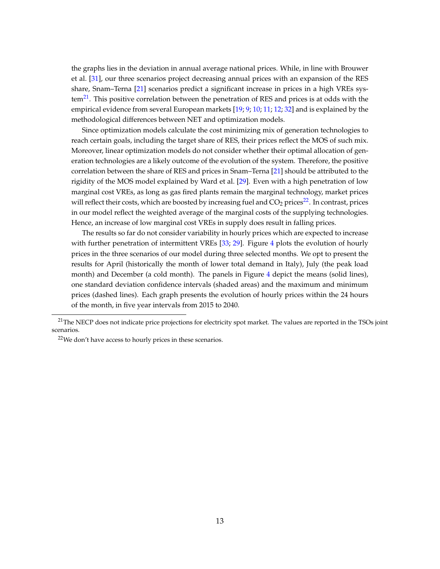the graphs lies in the deviation in annual average national prices. While, in line with Brouwer et al. [\[31\]](#page-21-6), our three scenarios project decreasing annual prices with an expansion of the RES share, Snam–Terna [\[21\]](#page-20-6) scenarios predict a significant increase in prices in a high VREs sys- $tem<sup>21</sup>$  $tem<sup>21</sup>$  $tem<sup>21</sup>$ . This positive correlation between the penetration of RES and prices is at odds with the empirical evidence from several European markets [\[19;](#page-20-4) [9;](#page-19-8) [10;](#page-19-9) [11;](#page-19-10) [12;](#page-19-11) [32\]](#page-21-7) and is explained by the methodological differences between NET and optimization models.

Since optimization models calculate the cost minimizing mix of generation technologies to reach certain goals, including the target share of RES, their prices reflect the MOS of such mix. Moreover, linear optimization models do not consider whether their optimal allocation of generation technologies are a likely outcome of the evolution of the system. Therefore, the positive correlation between the share of RES and prices in Snam–Terna [\[21\]](#page-20-6) should be attributed to the rigidity of the MOS model explained by Ward et al. [\[29\]](#page-21-4). Even with a high penetration of low marginal cost VREs, as long as gas fired plants remain the marginal technology, market prices will reflect their costs, which are boosted by increasing fuel and  $CO<sub>2</sub>$  prices<sup>[22](#page-12-1)</sup>. In contrast, prices in our model reflect the weighted average of the marginal costs of the supplying technologies. Hence, an increase of low marginal cost VREs in supply does result in falling prices.

The results so far do not consider variability in hourly prices which are expected to increase with further penetration of intermittent VREs [\[33;](#page-21-8) [29\]](#page-21-4). Figure [4](#page-13-0) plots the evolution of hourly prices in the three scenarios of our model during three selected months. We opt to present the results for April (historically the month of lower total demand in Italy), July (the peak load month) and December (a cold month). The panels in Figure [4](#page-13-0) depict the means (solid lines), one standard deviation confidence intervals (shaded areas) and the maximum and minimum prices (dashed lines). Each graph presents the evolution of hourly prices within the 24 hours of the month, in five year intervals from 2015 to 2040.

<span id="page-12-0"></span><sup>&</sup>lt;sup>21</sup>The NECP does not indicate price projections for electricity spot market. The values are reported in the TSOs joint scenarios.

<span id="page-12-1"></span><sup>&</sup>lt;sup>22</sup>We don't have access to hourly prices in these scenarios.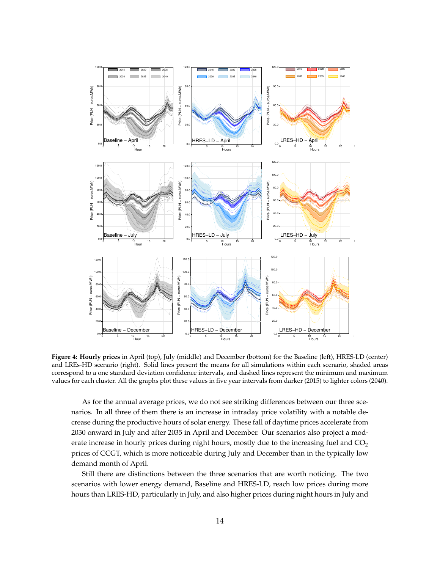<span id="page-13-0"></span>

**Figure 4: Hourly prices** in April (top), July (middle) and December (bottom) for the Baseline (left), HRES-LD (center) and LREs-HD scenario (right). Solid lines present the means for all simulations within each scenario, shaded areas correspond to a one standard deviation confidence intervals, and dashed lines represent the minimum and maximum values for each cluster. All the graphs plot these values in five year intervals from darker (2015) to lighter colors (2040).

As for the annual average prices, we do not see striking differences between our three scenarios. In all three of them there is an increase in intraday price volatility with a notable decrease during the productive hours of solar energy. These fall of daytime prices accelerate from 2030 onward in July and after 2035 in April and December. Our scenarios also project a moderate increase in hourly prices during night hours, mostly due to the increasing fuel and  $CO<sub>2</sub>$ prices of CCGT, which is more noticeable during July and December than in the typically low demand month of April.

Still there are distinctions between the three scenarios that are worth noticing. The two scenarios with lower energy demand, Baseline and HRES-LD, reach low prices during more hours than LRES-HD, particularly in July, and also higher prices during night hours in July and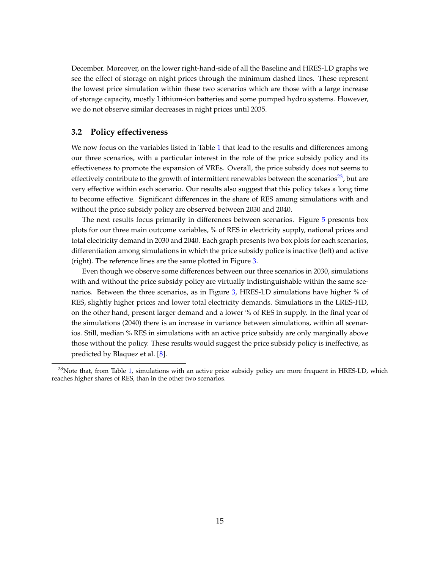December. Moreover, on the lower right-hand-side of all the Baseline and HRES-LD graphs we see the effect of storage on night prices through the minimum dashed lines. These represent the lowest price simulation within these two scenarios which are those with a large increase of storage capacity, mostly Lithium-ion batteries and some pumped hydro systems. However, we do not observe similar decreases in night prices until 2035.

### **3.2 Policy effectiveness**

We now focus on the variables listed in Table [1](#page-8-0) that lead to the results and differences among our three scenarios, with a particular interest in the role of the price subsidy policy and its effectiveness to promote the expansion of VREs. Overall, the price subsidy does not seems to effectively contribute to the growth of intermittent renewables between the scenarios<sup>[23](#page-14-0)</sup>, but are very effective within each scenario. Our results also suggest that this policy takes a long time to become effective. Significant differences in the share of RES among simulations with and without the price subsidy policy are observed between 2030 and 2040.

The next results focus primarily in differences between scenarios. Figure [5](#page-15-0) presents box plots for our three main outcome variables, % of RES in electricity supply, national prices and total electricity demand in 2030 and 2040. Each graph presents two box plots for each scenarios, differentiation among simulations in which the price subsidy police is inactive (left) and active (right). The reference lines are the same plotted in Figure [3.](#page-11-0)

Even though we observe some differences between our three scenarios in 2030, simulations with and without the price subsidy policy are virtually indistinguishable within the same scenarios. Between the three scenarios, as in Figure [3,](#page-11-0) HRES-LD simulations have higher % of RES, slightly higher prices and lower total electricity demands. Simulations in the LRES-HD, on the other hand, present larger demand and a lower % of RES in supply. In the final year of the simulations (2040) there is an increase in variance between simulations, within all scenarios. Still, median % RES in simulations with an active price subsidy are only marginally above those without the policy. These results would suggest the price subsidy policy is ineffective, as predicted by Blaquez et al. [\[8\]](#page-19-7).

<span id="page-14-0"></span><sup>&</sup>lt;sup>23</sup>Note that, from Table [1,](#page-8-0) simulations with an active price subsidy policy are more frequent in HRES-LD, which reaches higher shares of RES, than in the other two scenarios.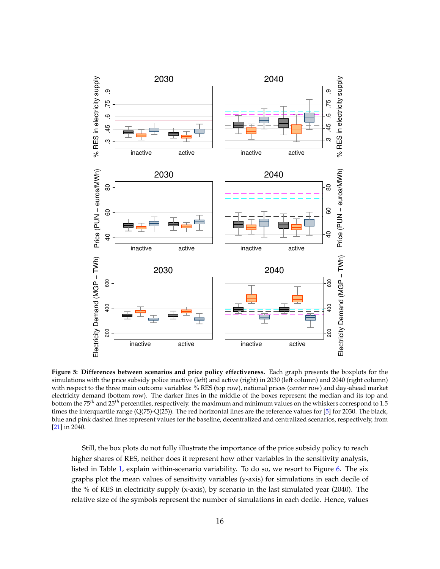<span id="page-15-0"></span>

**Figure 5: Differences between scenarios and price policy effectiveness.** Each graph presents the boxplots for the simulations with the price subsidy police inactive (left) and active (right) in 2030 (left column) and 2040 (right column) with respect to the three main outcome variables: % RES (top row), national prices (center row) and day-ahead market electricity demand (bottom row). The darker lines in the middle of the boxes represent the median and its top and bottom the 75*th* and 25*th* percentiles, respectively. the maximum and minimum values on the whiskers correspond to 1.5 times the interquartile range (Q(75)-Q(25)). The red horizontal lines are the reference values for [\[5\]](#page-19-4) for 2030. The black, blue and pink dashed lines represent values for the baseline, decentralized and centralized scenarios, respectively, from [\[21\]](#page-20-6) in 2040.

Still, the box plots do not fully illustrate the importance of the price subsidy policy to reach higher shares of RES, neither does it represent how other variables in the sensitivity analysis, listed in Table [1,](#page-8-0) explain within-scenario variability. To do so, we resort to Figure [6.](#page-16-0) The six graphs plot the mean values of sensitivity variables (y-axis) for simulations in each decile of the % of RES in electricity supply (x-axis), by scenario in the last simulated year (2040). The relative size of the symbols represent the number of simulations in each decile. Hence, values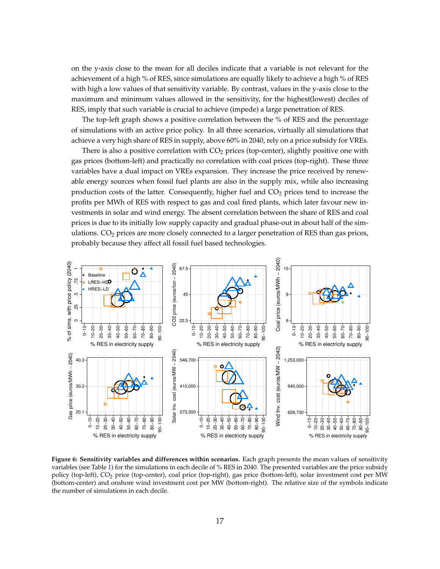on the y-axis close to the mean for all deciles indicate that a variable is not relevant for the achievement of a high % of RES, since simulations are equally likely to achieve a high % of RES with high a low values of that sensitivity variable. By contrast, values in the y-axis close to the maximum and minimum values allowed in the sensitivity, for the highest(lowest) deciles of RES, imply that such variable is crucial to achieve (impede) a large penetration of RES.

The top-left graph shows a positive correlation between the % of RES and the percentage of simulations with an active price policy. In all three scenarios, virtually all simulations that achieve a very high share of RES in supply, above 60% in 2040, rely on a price subsidy for VREs.

There is also a positive correlation with  $CO<sub>2</sub>$  prices (top-center), slightly positive one with gas prices (bottom-left) and practically no correlation with coal prices (top-right). These three variables have a dual impact on VREs expansion. They increase the price received by renewable energy sources when fossil fuel plants are also in the supply mix, while also increasing production costs of the latter. Consequently, higher fuel and  $CO<sub>2</sub>$  prices tend to increase the profits per MWh of RES with respect to gas and coal fired plants, which later favour new investments in solar and wind energy. The absent correlation between the share of RES and coal prices is due to its initially low supply capacity and gradual phase-out in about half of the simulations.  $CO<sub>2</sub>$  prices are more closely connected to a larger penetration of RES than gas prices, probably because they affect all fossil fuel based technologies.

<span id="page-16-0"></span>

**Figure 6: Sensitivity variables and differences within scenarios.** Each graph presents the mean values of sensitivity variables (see Table [1\)](#page-8-0) for the simulations in each decile of % RES in 2040. The presented variables are the price subsidy policy (top-left), CO<sup>2</sup> price (top-center), coal price (top-right), gas price (bottom-left), solar investment cost per MW (bottom-center) and onshore wind investment cost per MW (bottom-right). The relative size of the symbols indicate the number of simulations in each decile.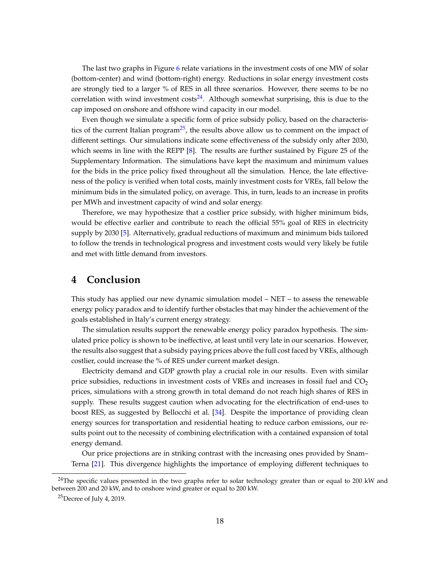The last two graphs in Figure [6](#page-16-0) relate variations in the investment costs of one MW of solar (bottom-center) and wind (bottom-right) energy. Reductions in solar energy investment costs are strongly tied to a larger % of RES in all three scenarios. However, there seems to be no correlation with wind investment  $costs^{24}$  $costs^{24}$  $costs^{24}$ . Although somewhat surprising, this is due to the cap imposed on onshore and offshore wind capacity in our model.

Even though we simulate a specific form of price subsidy policy, based on the characteris-tics of the current Italian program<sup>[25](#page-17-2)</sup>, the results above allow us to comment on the impact of different settings. Our simulations indicate some effectiveness of the subsidy only after 2030, which seems in line with the REPP [\[8\]](#page-19-7). The results are further sustained by Figure 25 of the Supplementary Information. The simulations have kept the maximum and minimum values for the bids in the price policy fixed throughout all the simulation. Hence, the late effectiveness of the policy is verified when total costs, mainly investment costs for VREs, fall below the minimum bids in the simulated policy, on average. This, in turn, leads to an increase in profits per MWh and investment capacity of wind and solar energy.

Therefore, we may hypothesize that a costlier price subsidy, with higher minimum bids, would be effective earlier and contribute to reach the official 55% goal of RES in electricity supply by 2030 [\[5\]](#page-19-4). Alternatively, gradual reductions of maximum and minimum bids tailored to follow the trends in technological progress and investment costs would very likely be futile and met with little demand from investors.

### <span id="page-17-0"></span>**4 Conclusion**

This study has applied our new dynamic simulation model – NET – to assess the renewable energy policy paradox and to identify further obstacles that may hinder the achievement of the goals established in Italy's current energy strategy.

The simulation results support the renewable energy policy paradox hypothesis. The simulated price policy is shown to be ineffective, at least until very late in our scenarios. However, the results also suggest that a subsidy paying prices above the full cost faced by VREs, although costlier, could increase the % of RES under current market design.

Electricity demand and GDP growth play a crucial role in our results. Even with similar price subsidies, reductions in investment costs of VREs and increases in fossil fuel and  $CO<sub>2</sub>$ prices, simulations with a strong growth in total demand do not reach high shares of RES in supply. These results suggest caution when advocating for the electrification of end-uses to boost RES, as suggested by Bellocchi et al. [\[34\]](#page-21-9). Despite the importance of providing clean energy sources for transportation and residential heating to reduce carbon emissions, our results point out to the necessity of combining electrification with a contained expansion of total energy demand.

Our price projections are in striking contrast with the increasing ones provided by Snam– Terna [\[21\]](#page-20-6). This divergence highlights the importance of employing different techniques to

<span id="page-17-1"></span> $24$ The specific values presented in the two graphs refer to solar technology greater than or equal to 200 kW and between 200 and 20 kW, and to onshore wind greater or equal to 200 kW.

<span id="page-17-2"></span> $25$ Decree of July 4, 2019.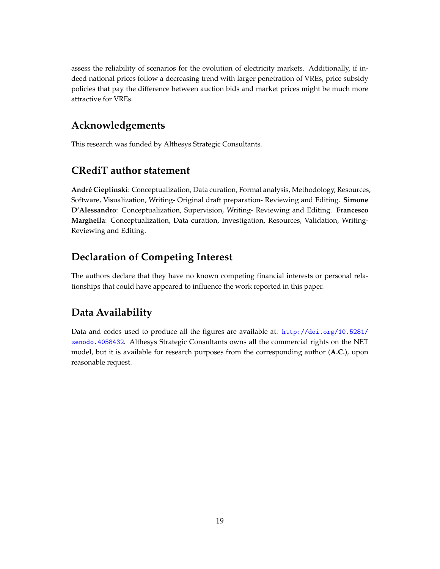assess the reliability of scenarios for the evolution of electricity markets. Additionally, if indeed national prices follow a decreasing trend with larger penetration of VREs, price subsidy policies that pay the difference between auction bids and market prices might be much more attractive for VREs.

# **Acknowledgements**

This research was funded by Althesys Strategic Consultants.

## **CRediT author statement**

**Andr´e Cieplinski**: Conceptualization, Data curation, Formal analysis, Methodology, Resources, Software, Visualization, Writing- Original draft preparation- Reviewing and Editing. **Simone D'Alessandro**: Conceptualization, Supervision, Writing- Reviewing and Editing. **Francesco Marghella**: Conceptualization, Data curation, Investigation, Resources, Validation, Writing-Reviewing and Editing.

# **Declaration of Competing Interest**

The authors declare that they have no known competing financial interests or personal relationships that could have appeared to influence the work reported in this paper.

# **Data Availability**

Data and codes used to produce all the figures are available at: [http://doi.org/10.5281/](http://doi.org/10.5281/zenodo.4058432) [zenodo.4058432](http://doi.org/10.5281/zenodo.4058432). Althesys Strategic Consultants owns all the commercial rights on the NET model, but it is available for research purposes from the corresponding author (**A.C.**), upon reasonable request.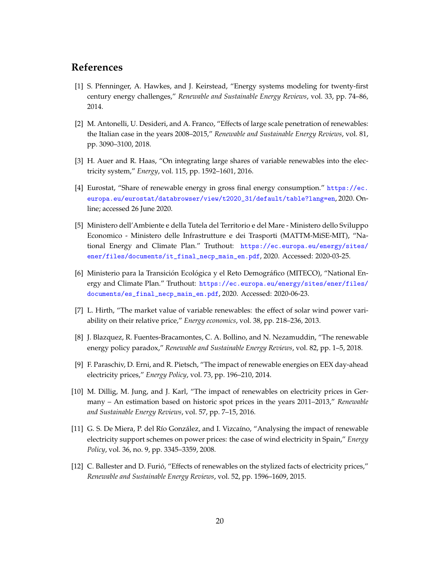### **References**

- <span id="page-19-0"></span>[1] S. Pfenninger, A. Hawkes, and J. Keirstead, "Energy systems modeling for twenty-first century energy challenges," *Renewable and Sustainable Energy Reviews*, vol. 33, pp. 74–86, 2014.
- <span id="page-19-1"></span>[2] M. Antonelli, U. Desideri, and A. Franco, "Effects of large scale penetration of renewables: the Italian case in the years 2008–2015," *Renewable and Sustainable Energy Reviews*, vol. 81, pp. 3090–3100, 2018.
- <span id="page-19-2"></span>[3] H. Auer and R. Haas, "On integrating large shares of variable renewables into the electricity system," *Energy*, vol. 115, pp. 1592–1601, 2016.
- <span id="page-19-3"></span>[4] Eurostat, "Share of renewable energy in gross final energy consumption." [https://ec.](https://ec.europa.eu/eurostat/databrowser/view/t2020_31/default/table?lang=en) [europa.eu/eurostat/databrowser/view/t2020\\_31/default/table?lang=en](https://ec.europa.eu/eurostat/databrowser/view/t2020_31/default/table?lang=en), 2020. Online; accessed 26 June 2020.
- <span id="page-19-4"></span>[5] Ministero dell'Ambiente e della Tutela del Territorio e del Mare - Ministero dello Sviluppo Economico - Ministero delle Infrastrutture e dei Trasporti (MATTM-MiSE-MIT), "National Energy and Climate Plan." Truthout: [https://ec.europa.eu/energy/sites/](https://ec.europa.eu/energy/sites/ener/files/documents/it_final_necp_main_en.pdf) [ener/files/documents/it\\_final\\_necp\\_main\\_en.pdf](https://ec.europa.eu/energy/sites/ener/files/documents/it_final_necp_main_en.pdf), 2020. Accessed: 2020-03-25.
- <span id="page-19-5"></span>[6] Ministerio para la Transición Ecológica y el Reto Demográfico (MITECO), "National Energy and Climate Plan." Truthout: [https://ec.europa.eu/energy/sites/ener/files/](https://ec.europa.eu/energy/sites/ener/files/documents/es_final_necp_main_en.pdf) [documents/es\\_final\\_necp\\_main\\_en.pdf](https://ec.europa.eu/energy/sites/ener/files/documents/es_final_necp_main_en.pdf), 2020. Accessed: 2020-06-23.
- <span id="page-19-6"></span>[7] L. Hirth, "The market value of variable renewables: the effect of solar wind power variability on their relative price," *Energy economics*, vol. 38, pp. 218–236, 2013.
- <span id="page-19-7"></span>[8] J. Blazquez, R. Fuentes-Bracamontes, C. A. Bollino, and N. Nezamuddin, "The renewable energy policy paradox," *Renewable and Sustainable Energy Reviews*, vol. 82, pp. 1–5, 2018.
- <span id="page-19-8"></span>[9] F. Paraschiv, D. Erni, and R. Pietsch, "The impact of renewable energies on EEX day-ahead electricity prices," *Energy Policy*, vol. 73, pp. 196–210, 2014.
- <span id="page-19-9"></span>[10] M. Dillig, M. Jung, and J. Karl, "The impact of renewables on electricity prices in Germany – An estimation based on historic spot prices in the years 2011–2013," *Renewable and Sustainable Energy Reviews*, vol. 57, pp. 7–15, 2016.
- <span id="page-19-10"></span>[11] G. S. De Miera, P. del Río González, and I. Vizcaíno, "Analysing the impact of renewable electricity support schemes on power prices: the case of wind electricity in Spain," *Energy Policy*, vol. 36, no. 9, pp. 3345–3359, 2008.
- <span id="page-19-11"></span>[12] C. Ballester and D. Furio, "Effects of renewables on the stylized facts of electricity prices," ´ *Renewable and Sustainable Energy Reviews*, vol. 52, pp. 1596–1609, 2015.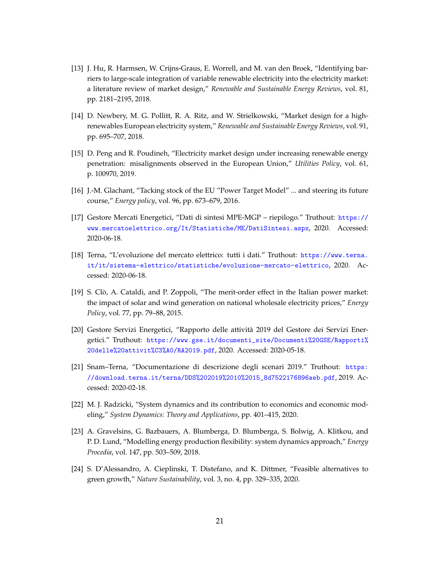- <span id="page-20-0"></span>[13] J. Hu, R. Harmsen, W. Crijns-Graus, E. Worrell, and M. van den Broek, "Identifying barriers to large-scale integration of variable renewable electricity into the electricity market: a literature review of market design," *Renewable and Sustainable Energy Reviews*, vol. 81, pp. 2181–2195, 2018.
- <span id="page-20-1"></span>[14] D. Newbery, M. G. Pollitt, R. A. Ritz, and W. Strielkowski, "Market design for a highrenewables European electricity system," *Renewable and Sustainable Energy Reviews*, vol. 91, pp. 695–707, 2018.
- <span id="page-20-2"></span>[15] D. Peng and R. Poudineh, "Electricity market design under increasing renewable energy penetration: misalignments observed in the European Union," *Utilities Policy*, vol. 61, p. 100970, 2019.
- <span id="page-20-3"></span>[16] J.-M. Glachant, "Tacking stock of the EU "Power Target Model" ... and steering its future course," *Energy policy*, vol. 96, pp. 673–679, 2016.
- <span id="page-20-7"></span>[17] Gestore Mercati Energetici, "Dati di sintesi MPE-MGP – riepilogo." Truthout: [https://](https://www.mercatoelettrico.org/It/Statistiche/ME/DatiSintesi.aspx) [www.mercatoelettrico.org/It/Statistiche/ME/DatiSintesi.aspx](https://www.mercatoelettrico.org/It/Statistiche/ME/DatiSintesi.aspx), 2020. Accessed: 2020-06-18.
- <span id="page-20-8"></span>[18] Terna, "L'evoluzione del mercato elettrico: tutti i dati." Truthout: [https://www.terna.](https://www.terna.it/it/sistema-elettrico/statistiche/evoluzione-mercato-elettrico) [it/it/sistema-elettrico/statistiche/evoluzione-mercato-elettrico](https://www.terna.it/it/sistema-elettrico/statistiche/evoluzione-mercato-elettrico), 2020. Accessed: 2020-06-18.
- <span id="page-20-4"></span>[19] S. Clò, A. Cataldi, and P. Zoppoli, "The merit-order effect in the Italian power market: the impact of solar and wind generation on national wholesale electricity prices," *Energy Policy*, vol. 77, pp. 79–88, 2015.
- <span id="page-20-5"></span>[20] Gestore Servizi Energetici, "Rapporto delle attivita 2019 del Gestore dei Servizi Ener- ` getici." Truthout: [https://www.gse.it/documenti\\_site/Documenti%20GSE/Rapporti%](https://www.gse.it/documenti_site/Documenti%20GSE/Rapporti%20delle%20attivit%C3%A0/RA2019.pdf) [20delle%20attivit%C3%A0/RA2019.pdf](https://www.gse.it/documenti_site/Documenti%20GSE/Rapporti%20delle%20attivit%C3%A0/RA2019.pdf), 2020. Accessed: 2020-05-18.
- <span id="page-20-6"></span>[21] Snam–Terna, "Documentazione di descrizione degli scenari 2019." Truthout: [https:](https://download.terna.it/terna/DDS%202019%2010%2015_8d7522176896aeb.pdf) [//download.terna.it/terna/DDS%202019%2010%2015\\_8d7522176896aeb.pdf](https://download.terna.it/terna/DDS%202019%2010%2015_8d7522176896aeb.pdf), 2019. Accessed: 2020-02-18.
- <span id="page-20-9"></span>[22] M. J. Radzicki, "System dynamics and its contribution to economics and economic modeling," *System Dynamics: Theory and Applications*, pp. 401–415, 2020.
- <span id="page-20-10"></span>[23] A. Gravelsins, G. Bazbauers, A. Blumberga, D. Blumberga, S. Bolwig, A. Klitkou, and P. D. Lund, "Modelling energy production flexibility: system dynamics approach," *Energy Procedia*, vol. 147, pp. 503–509, 2018.
- <span id="page-20-11"></span>[24] S. D'Alessandro, A. Cieplinski, T. Distefano, and K. Dittmer, "Feasible alternatives to green growth," *Nature Sustainability*, vol. 3, no. 4, pp. 329–335, 2020.